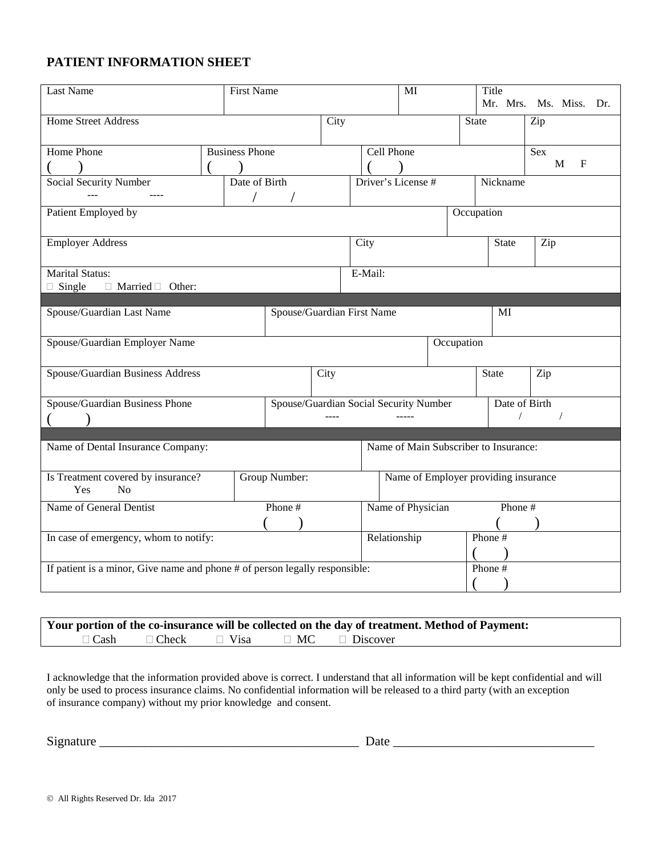## **PATIENT INFORMATION SHEET**

| Last Name                                                                   |  | <b>First Name</b>     |               |                            |                                        | MI                                    |              | Title<br>Mr. Mrs. Ms. Miss. Dr. |                  |  |
|-----------------------------------------------------------------------------|--|-----------------------|---------------|----------------------------|----------------------------------------|---------------------------------------|--------------|---------------------------------|------------------|--|
| <b>Home Street Address</b>                                                  |  |                       |               | City                       |                                        |                                       | <b>State</b> |                                 | Zip              |  |
| Home Phone                                                                  |  | <b>Business Phone</b> |               |                            | Cell Phone                             |                                       |              |                                 | Sex              |  |
|                                                                             |  |                       |               |                            |                                        |                                       |              |                                 | M<br>$\mathbf F$ |  |
| <b>Social Security Number</b>                                               |  | Date of Birth         |               |                            |                                        | Driver's License #                    |              | Nickname                        |                  |  |
| Patient Employed by                                                         |  |                       |               |                            |                                        |                                       | Occupation   |                                 |                  |  |
| <b>Employer Address</b>                                                     |  |                       |               |                            | City                                   |                                       |              | <b>State</b>                    | Zip              |  |
| <b>Marital Status:</b>                                                      |  |                       |               |                            | E-Mail:                                |                                       |              |                                 |                  |  |
| $\Box$ Single<br>$\Box$ Married $\Box$ Other:                               |  |                       |               |                            |                                        |                                       |              |                                 |                  |  |
|                                                                             |  |                       |               |                            |                                        |                                       |              |                                 |                  |  |
| Spouse/Guardian Last Name                                                   |  |                       |               | Spouse/Guardian First Name |                                        |                                       |              | MI                              |                  |  |
| Spouse/Guardian Employer Name                                               |  |                       |               |                            |                                        |                                       | Occupation   |                                 |                  |  |
| Spouse/Guardian Business Address                                            |  |                       |               | City                       |                                        |                                       |              | <b>State</b>                    | Zip              |  |
| Spouse/Guardian Business Phone                                              |  |                       |               |                            | Spouse/Guardian Social Security Number |                                       |              | Date of Birth                   |                  |  |
|                                                                             |  |                       |               |                            |                                        |                                       |              |                                 |                  |  |
|                                                                             |  |                       |               |                            |                                        |                                       |              |                                 |                  |  |
| Name of Dental Insurance Company:                                           |  |                       |               |                            |                                        | Name of Main Subscriber to Insurance: |              |                                 |                  |  |
| Is Treatment covered by insurance?<br>N <sub>o</sub><br>Yes                 |  |                       | Group Number: |                            |                                        | Name of Employer providing insurance  |              |                                 |                  |  |
| Name of General Dentist                                                     |  |                       | Phone #       |                            |                                        | Name of Physician                     |              | Phone #                         |                  |  |
|                                                                             |  |                       |               |                            |                                        |                                       |              |                                 |                  |  |
| In case of emergency, whom to notify:                                       |  |                       |               |                            |                                        | Relationship                          |              | Phone #                         |                  |  |
| If patient is a minor, Give name and phone # of person legally responsible: |  |                       |               |                            |                                        |                                       | Phone #      |                                 |                  |  |
|                                                                             |  |                       |               |                            |                                        |                                       |              |                                 |                  |  |

|             |              |             | Your portion of the co-insurance will be collected on the day of treatment. Method of Payment: |
|-------------|--------------|-------------|------------------------------------------------------------------------------------------------|
| $\Box$ Cash | $\Box$ Check | $\Box$ Visa | $\Box$ MC $\Box$ Discover                                                                      |

I acknowledge that the information provided above is correct. I understand that all information will be kept confidential and will only be used to process insurance claims. No confidential information will be released to a third party (with an exception of insurance company) without my prior knowledge and consent.

| $\sim$ | -        |
|--------|----------|
| ۱۱۶:   | $\cdots$ |
| иш     |          |
|        |          |